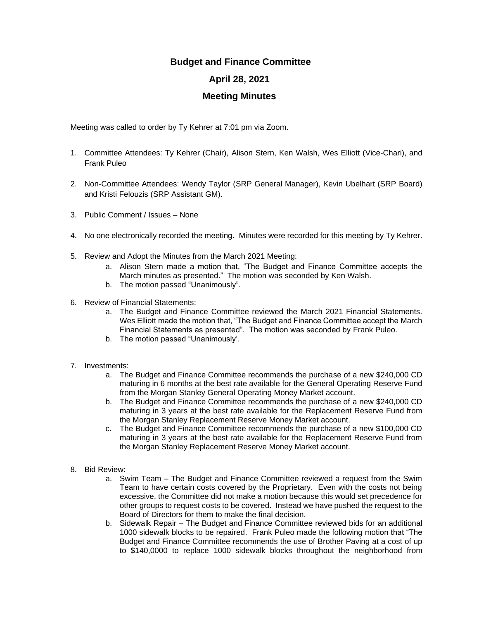## **Budget and Finance Committee**

## **April 28, 2021**

## **Meeting Minutes**

Meeting was called to order by Ty Kehrer at 7:01 pm via Zoom.

- 1. Committee Attendees: Ty Kehrer (Chair), Alison Stern, Ken Walsh, Wes Elliott (Vice-Chari), and Frank Puleo
- 2. Non-Committee Attendees: Wendy Taylor (SRP General Manager), Kevin Ubelhart (SRP Board) and Kristi Felouzis (SRP Assistant GM).
- 3. Public Comment / Issues None
- 4. No one electronically recorded the meeting. Minutes were recorded for this meeting by Ty Kehrer.
- 5. Review and Adopt the Minutes from the March 2021 Meeting:
	- a. Alison Stern made a motion that, "The Budget and Finance Committee accepts the March minutes as presented." The motion was seconded by Ken Walsh.
	- b. The motion passed "Unanimously".
- 6. Review of Financial Statements:
	- a. The Budget and Finance Committee reviewed the March 2021 Financial Statements. Wes Elliott made the motion that, "The Budget and Finance Committee accept the March Financial Statements as presented". The motion was seconded by Frank Puleo.
	- b. The motion passed "Unanimously'.
- 7. Investments:
	- a. The Budget and Finance Committee recommends the purchase of a new \$240,000 CD maturing in 6 months at the best rate available for the General Operating Reserve Fund from the Morgan Stanley General Operating Money Market account.
	- b. The Budget and Finance Committee recommends the purchase of a new \$240,000 CD maturing in 3 years at the best rate available for the Replacement Reserve Fund from the Morgan Stanley Replacement Reserve Money Market account.
	- c. The Budget and Finance Committee recommends the purchase of a new \$100,000 CD maturing in 3 years at the best rate available for the Replacement Reserve Fund from the Morgan Stanley Replacement Reserve Money Market account.
- 8. Bid Review:
	- a. Swim Team The Budget and Finance Committee reviewed a request from the Swim Team to have certain costs covered by the Proprietary. Even with the costs not being excessive, the Committee did not make a motion because this would set precedence for other groups to request costs to be covered. Instead we have pushed the request to the Board of Directors for them to make the final decision.
	- b. Sidewalk Repair The Budget and Finance Committee reviewed bids for an additional 1000 sidewalk blocks to be repaired. Frank Puleo made the following motion that "The Budget and Finance Committee recommends the use of Brother Paving at a cost of up to \$140,0000 to replace 1000 sidewalk blocks throughout the neighborhood from